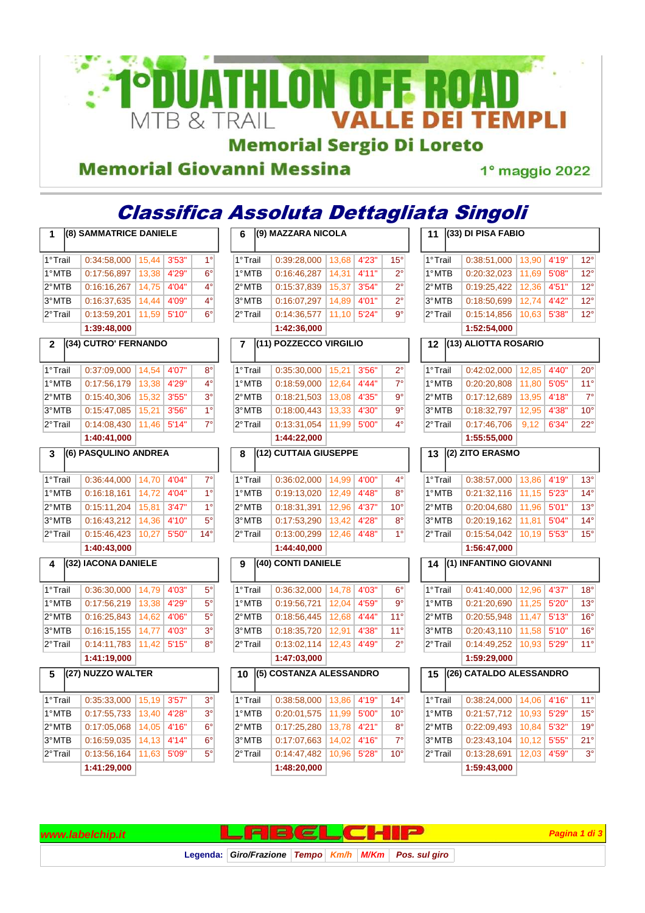

#### **Memorial Giovanni Messina**

1° maggio 2022

#### Classifica Assoluta Dettagliata Singoli **1 (8) SAMMATRICE DANIELE**  1° Trail 0:34:58,000 15.44 3'53" 1° 1° MTB 0:17:56,897 13,38 4'29" 6° 2° MTB 0:16:16.267 14.75 4'04" 4° 3° MTB 0:16:37,635 14,44 4'09" 4° 2° Trail 0:13:59.201 11.59 5'10" 6° **1:39:48,000 2 (34) CUTRO' FERNANDO**  1° Trail 0:37:09,000 14,54 4'07" 8° 1° MTB 0:17:56,179 13,38 4'29" 4° 2° MTB 0:15:40,306 15,32 3'55" 3° 3° MTB 0:15:47,085 15,21 3'56" 1° 2° Trail 0:14:08,430 11,46 5'14" 7° **1:40:41,000 3 (6) PASQULINO ANDREA**  1° Trail 0:36:44,000 14,70 4'04" 7° 1° MTB 0:16:18,161 14,72 4'04" 1° 2° MTB 0:15:11.204 15.81 3'47" 1° 3° MTB 0:16:43,212 14,36 4'10" 5° 2° Trail 0:15:46,423 10,27 5'50" 14° **1:40:43,000 4 (32) IACONA DANIELE**  1° Trail 0:36:30,000 14.79 4'03" 5° 1° MTB 0:17:56,219 13,38 4'29" 5° 2° MTB 0:16:25,843 14.62 4'06" 5° 3° MTB 0:16:15,155 14,77 4'03" 3° 2° Trail 0:14:11,783 11,42 5'15" 8° **1:41:19,000 5 (27) NUZZO WALTER**  1° Trail 0:35:33,000 15.19 3'57" 3° 1° MTB 0:17:55,733 13,40 4'28" 3° 2° MTB 0:17:05,068 14,05 4'16" 6° 3° MTB 0:16:59,035 14,13 4'14" 6° 2° Trail 0:13:56,164 11,63 5'09" 5° **1:41:29,000 6 (9) MAZZARA NICOLA**  1° Trail 0:39:28,000 13,68 4'23" 15° 1° MTB 0:16:46,287 14,31 4'11" 2° 2° MTB 0:15:37,839 15,37 3'54" 2° 3° MTB 0:16:07,297 14,89 4'01" 2° 2° Trail 0:14:36,577 11,10 5'24" 9° **1:42:36,000 7 (11) POZZECCO VIRGILIO**  1° Trail 0:35:30,000 15,21 3'56" 2° 1° MTB 0:18:59,000 12,64 4'44" 7° 2° MTB 0:18:21,503 13,08 4'35" 9° 3° MTB 0:18:00,443 13,33 4'30" 9° 2° Trail 0:13:31,054 11,99 5'00" 4° **1:44:22,000 8 (12) CUTTAIA GIUSEPPE**  1° Trail 0:36:02,000 14,99 4'00" 4° 1° MTB 0:19:13,020 12,49 4'48" 8° 2° MTB 0:18:31,391 12,96 4'37" 10° 3°MTB 0:17:53.290 13.42 4'28" 8° 2° Trail 0:13:00.299 12.46 4'48" 1° **1:44:40,000 9 (40) CONTI DANIELE**  1° Trail 0:36:32,000 14,78 4'03" 6° 1° MTB 0:19:56,721 12,04 4'59" 9° 2° MTB 0:18:56 445 12.68 4'44" 11° 3° MTB 0:18:35,720 12,91 4'38" 11° 2° Trail 0:13:02,114 12,43 4'49" 2° **1:47:03,000 10 (5) COSTANZA ALESSANDRO**  1° Trail 0:38:58,000 13,86 4'19" 14° 1° MTB 0:20:01,575 11,99 5'00" 10° 2° MTB 0:17:25,280 13,78 4'21" 8° 3° MTB 0:17:07,663 14,02 4'16" 7° 2° Trail 0:14:47,482 10,96 5'28" 10° **1:48:20,000 11 (33) DI PISA FABIO**  1° Trail 0:38:51,000 13,90 4'19" 12° 1° MTB 0:20:32,023 11,69 5'08" 12° 2° MTB 0:19:25,422 12,36 4'51" 12° 3° MTB 0:18:50,699 12,74 4'42" 12° 2° Trail 0:15:14.856 10.63 5'38" 12° **1:52:54,000 12 (13) ALIOTTA ROSARIO**  1° Trail 0:42:02,000 12,85 4'40" 20° 1° MTB 0:20:20,808 11,80 5'05" 11° 2° MTB 0:17:12,689 13,95 4'18" 7° 3° MTB 0:18:32,797 12,95 4'38" 10° 2° Trail 0:17:46,706 9,12 6'34" 22° **1:55:55,000 13 (2) ZITO ERASMO**  1° Trail 0:38:57,000 13,86 4'19" 13° 1° MTB 0:21:32,116 11,15 5'23" 14° 2° MTB 0:20:04,680 11,96 5'01" 13° 3° MTB 0:20:19,162 11,81 5'04" 14° 2° Trail 0:15:54,042 10,19 5'53" 15° **1:56:47,000 14 (1) INFANTINO GIOVANNI**  1° Trail 0:41:40,000 12,96 4'37" 18° 1° MTB 0:21:20,690 11,25 5'20" 13° 2° MTB 0:20:55,948 11,47 5'13" 16° 3° MTB 0:20:43,110 11,58 5'10" 16° 2° Trail 0:14:49.252 10.93 5'29" 11° **1:59:29,000 15 (26) CATALDO ALESSANDRO**  1° Trail 0:38:24,000 14,06 4'16" 11° 1° MTB 0:21:57,712 10,93 5'29" 15° 2° MTB 0:22:09,493 10,84 5'32" 19° 3° MTB 0:23:43,104 10,12 5'55" 21° 2° Trail 0:13:28,691 12,03 4'59" 3° **1:59:43,000**

Legenda: Giro/Frazione Tempo Km/h M/Km Pos. sul giro

**www.labelchip.it Pagina 1 di 3 Pagina 1 di 3 Pagina 1 di 3 Pagina 1 di 3**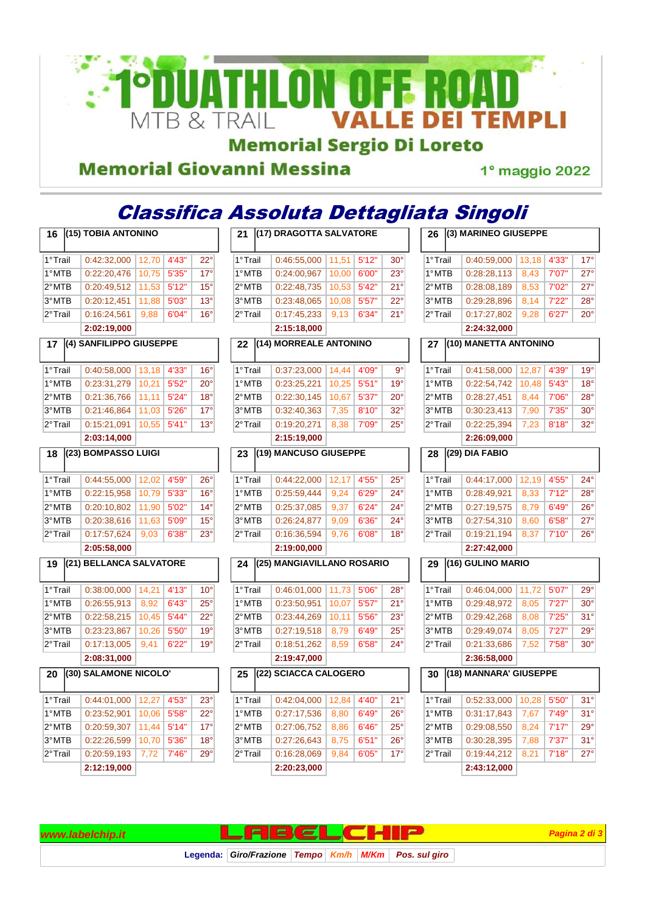

## **Memorial Sergio Di Loreto**

#### **Memorial Giovanni Messina**

1° maggio 2022

#### Classifica Assoluta Dettagliata Singoli **16 (15) TOBIA ANTONINO 21 (17) DRAGOTTA SALVATORE 26 (3) MARINEO GIUSEPPE**

| 1°Trail | 0:42:32,000             | 12,70 | 4'43" | $22^{\circ}$ |  |
|---------|-------------------------|-------|-------|--------------|--|
| 1°MTB   | 0:22:20,476             | 10,75 | 5'35" | $17^\circ$   |  |
| 2°MTB   | 0:20:49,512             | 11,53 | 5'12" | $15^{\circ}$ |  |
| 3°MTB   | 0:20:12,451             | 11,88 | 5'03" | $13^{\circ}$ |  |
| 2°Trail | 0:16:24,561             | 9,88  | 6'04" | $16^{\circ}$ |  |
|         | 2:02:19,000             |       |       |              |  |
| 17      | (4) SANFILIPPO GIUSEPPE |       |       |              |  |
|         |                         |       |       |              |  |
| 1°Trail | 0:40:58,000             | 13,18 | 4'33" | $16^{\circ}$ |  |
| 1°MTB   | 0:23:31,279             | 10,21 | 5'52" | $20^{\circ}$ |  |
| 2°MTB   | 0:21:36,766             | 11,11 | 5'24" | $18^\circ$   |  |
| 3°MTB   | 0:21:46,864             | 11,03 | 5'26" | $17^\circ$   |  |
| 2°Trail | 0:15:21,091             | 10,55 | 5'41" | $13^\circ$   |  |
|         | 2:03:14,000             |       |       |              |  |
| 18      | (23) BOMPASSO LUIGI     |       |       |              |  |
|         |                         |       |       |              |  |
| 1°Trail | 0:44:55,000             | 12,02 | 4'59" | $26^{\circ}$ |  |
| 1°MTB   | 0:22:15,958             | 10,79 | 5'33" | $16^{\circ}$ |  |
| 2°MTB   | 0:20:10,802             | 11,90 | 5'02" | $14^{\circ}$ |  |
| 3°MTB   | 0:20:38,616             | 11,63 | 5'09" | $15^{\circ}$ |  |
| 2°Trail | 0:17:57,624             | 9,03  | 6'38" | 23°          |  |
|         | 2:05:58,000             |       |       |              |  |
| 19      | (21) BELLANCA SALVATORE |       |       |              |  |
|         |                         |       |       |              |  |
| 1°Trail | 0:38:00,000             | 14,21 | 4'13" | $10^{\circ}$ |  |
| 1°MTB   | 0:26:55,913             | 8,92  | 6'43" | $25^{\circ}$ |  |
| 2°MTB   | 0:22:58,215             | 10,45 | 5'44" | $22^{\circ}$ |  |
| 3°MTB   | 0:23:23,867             | 10,26 | 5'50" | $19^{\circ}$ |  |
| 2°Trail | 0:17:13,005             | 9,41  | 6'22" | $19^{\circ}$ |  |
|         | 2:08:31,000             |       |       |              |  |
| 20      | (30) SALAMONE NICOLO'   |       |       |              |  |
|         |                         |       |       |              |  |
| 1°Trail | 0:44:01,000             | 12,27 | 4'53" | $23^\circ$   |  |
| 1°MTB   | 0:23:52,901             | 10,06 | 5'58" | 22°          |  |
| 2°MTB   | 0:20:59,307             | 11,44 | 5'14" | $17^\circ$   |  |
| 3°MTB   | 0:22:26,599             | 10,70 | 5'36" | $18^{\circ}$ |  |
| 2°Trail | 0:20:59,193             | 7,72  | 7'46" | 29°          |  |
|         | 2:12:19,000             |       |       |              |  |

| 21      |  | (17) DRAGOTTA SALVATORE    |       |       |              |
|---------|--|----------------------------|-------|-------|--------------|
| 1°Trail |  | 0:46:55,000                | 11,51 | 5'12" | $30^{\circ}$ |
| 1°MTB   |  | 0:24:00,967                | 10,00 | 6'00" | 23°          |
| 2°MTB   |  | 0:22:48,735                | 10,53 | 5'42" | 21°          |
| 3°MTB   |  | 0:23:48,065                | 10,08 | 5'57" | $22^{\circ}$ |
| 2°Trail |  | 0:17:45,233                | 9,13  | 6'34" | 21°          |
|         |  | 2:15:18,000                |       |       |              |
| 22      |  | (14) MORREALE ANTONINO     |       |       |              |
|         |  |                            |       |       |              |
| 1°Trail |  | 0:37:23,000                | 14,44 | 4'09" | 9°           |
| 1°MTB   |  | 0:23:25,221                | 10,25 | 5'51" | $19^\circ$   |
| 2°MTB   |  | 0:22:30,145                | 10,67 | 5'37" | $20^{\circ}$ |
| 3°MTB   |  | 0:32:40,363                | 7,35  | 8'10" | $32^{\circ}$ |
| 2°Trail |  | 0:19:20,271                | 8,38  | 7'09" | 25°          |
|         |  | 2:15:19,000                |       |       |              |
| 23      |  | (19) MANCUSO GIUSEPPE      |       |       |              |
| 1°Trail |  | 0:44:22,000                | 12,17 | 4'55" | $25^{\circ}$ |
| 1°MTB   |  | 0:25:59,444                | 9,24  | 6'29" | 24°          |
| 2°MTB   |  | 0:25:37,085                | 9,37  | 6'24" | $24^{\circ}$ |
| 3°MTB   |  | 0:26:24,877                | 9,09  | 6'36" | 24°          |
| 2°Trail |  | 0:16:36,594                | 9,76  | 6'08" | $18^\circ$   |
|         |  | 2:19:00,000                |       |       |              |
| 24      |  | (25) MANGIAVILLANO ROSARIO |       |       |              |
| 1°Trail |  | 0:46:01,000                | 11,73 | 5'06" | 28°          |
| 1°MTB   |  | 0:23:50,951                | 10,07 | 5'57" | 21°          |
| 2°MTB   |  | 0:23:44,269                | 10,11 | 5'56" | $23^\circ$   |
| 3°MTB   |  | 0:27:19,518                | 8,79  | 6'49" | $25^{\circ}$ |
| 2°Trail |  | 0:18:51,262                | 8,59  | 6'58" | $24^{\circ}$ |
|         |  | 2:19:47,000                |       |       |              |
| 25      |  | (22) SCIACCA CALOGERO      |       |       |              |
| 1°Trail |  | 0:42:04,000                | 12,84 | 4'40" | $21^{\circ}$ |
| 1°MTB   |  | 0:27:17,536                | 8,80  | 6'49" | $26^{\circ}$ |
| 2°MTB   |  | 0:27:06,752                | 8.86  | 6'46" | $25^{\circ}$ |
| 3°MTB   |  | 0:27:26,643                | 8,75  | 6'51" | $26^{\circ}$ |
| 2°Trail |  | 0:16:28,069                | 9,84  | 6'05" | $17^{\circ}$ |
|         |  | 2:20:23,000                |       |       |              |
|         |  |                            |       |       |              |

| 26      | (3) MARINEO GIUSEPPE   |       |       |              |
|---------|------------------------|-------|-------|--------------|
| 1°Trail | 0:40:59,000            | 13,18 | 4'33" | $17^{\circ}$ |
| 1°MTB   | 0:28:28,113            | 8,43  | 7'07" | $27^\circ$   |
| 2°MTB   | 0:28:08,189            | 8,53  | 7'02" | $27^\circ$   |
| 3°MTB   | 0:29:28,896            | 8,14  | 7'22" | $28^\circ$   |
| 2°Trail | 0:17:27,802            | 9,28  | 6'27" | $20^{\circ}$ |
|         | 2:24:32,000            |       |       |              |
| 27      | (10) MANETTA ANTONINO  |       |       |              |
| 1°Trail | 0:41:58,000            | 12,87 | 4'39" | $19^{\circ}$ |
| 1°MTB   | 0:22:54,742            | 10,48 | 5'43" | $18^{\circ}$ |
| 2°MTB   | 0:28:27,451            | 8,44  | 7'06" | $28^\circ$   |
| 3°MTB   | 0:30:23,413            | 7,90  | 7'35" | $30^{\circ}$ |
| 2°Trail | 0:22:25,394            | 7,23  | 8'18" | 32°          |
|         | 2:26:09,000            |       |       |              |
| 28      | $(29)$ DIA FABIO       |       |       |              |
| 1°Trail | 0:44:17,000            | 12,19 | 4'55" | $24^{\circ}$ |
| 1°MTB   | 0:28:49,921            | 8,33  | 7'12" | $28^\circ$   |
| 2°MTB   | 0:27:19,575            | 8,79  | 6'49" | $26^{\circ}$ |
| 3°MTB   | 0:27:54,310            | 8,60  | 6'58" | $27^\circ$   |
| 2°Trail | 0:19:21,194            | 8,37  | 7'10" | $26^{\circ}$ |
|         | 2:27:42,000            |       |       |              |
| 29      | (16) GULINO MARIO      |       |       |              |
| 1°Trail | 0:46:04,000            | 11,72 | 5'07" | $29^{\circ}$ |
| 1°MTB   | 0:29:48,972            | 8,05  | 7'27" | $30^\circ$   |
| 2°MTB   | 0:29:42,268            | 8,08  | 7'25" | 31°          |
| 3°MTB   | 0:29:49,074            | 8,05  | 7'27" | 29°          |
| 2°Trail | 0:21:33,686            | 7,52  | 7'58" | $30^{\circ}$ |
|         | 2:36:58,000            |       |       |              |
| 30      | (18) MANNARA' GIUSEPPE |       |       |              |
| 1°Trail | 0:52:33,000            | 10,28 | 5'50" | $31^{\circ}$ |
| 1°MTB   | 0:31:17,843            | 7,67  | 7'49" | $31^{\circ}$ |
| 2°MTB   | 0:29:08,550            | 8,24  | 7'17" | $29^\circ$   |
| 3°MTB   | 0:30:28,395            | 7,88  | 7'37" | $31^\circ$   |
| 2°Trail | 0:19:44,212            | 8,21  | 7'18" | $27^\circ$   |
|         | 2:43:12,000            |       |       |              |